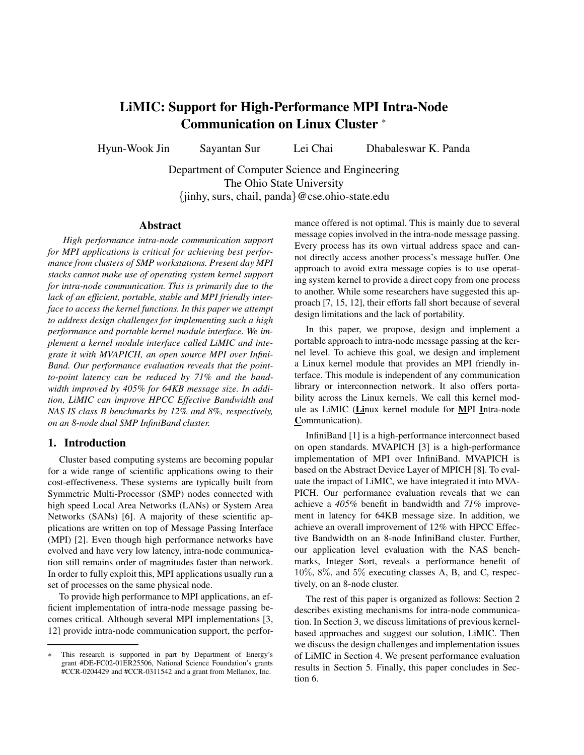# **LiMIC: Support for High-Performance MPI Intra-Node Communication on Linux Cluster** <sup>∗</sup>

Hyun-Wook Jin Sayantan Sur Lei Chai Dhabaleswar K. Panda

Department of Computer Science and Engineering The Ohio State University {jinhy, surs, chail, panda}@cse.ohio-state.edu

# **Abstract**

*High performance intra-node communication support for MPI applications is critical for achieving best performance from clusters of SMP workstations. Present day MPI stacks cannot make use of operating system kernel support for intra-node communication. This is primarily due to the lack of an efficient, portable, stable and MPI friendly interface to access the kernel functions. In this paper we attempt to address design challenges for implementing such a high performance and portable kernel module interface. We implement a kernel module interface called LiMIC and integrate it with MVAPICH, an open source MPI over Infini-Band. Our performance evaluation reveals that the pointto-point latency can be reduced by 71% and the bandwidth improved by 405% for 64KB message size. In addition, LiMIC can improve HPCC Effective Bandwidth and NAS IS class B benchmarks by 12% and 8%, respectively, on an 8-node dual SMP InfiniBand cluster.*

# **1. Introduction**

Cluster based computing systems are becoming popular for a wide range of scientific applications owing to their cost-effectiveness. These systems are typically built from Symmetric Multi-Processor (SMP) nodes connected with high speed Local Area Networks (LANs) or System Area Networks (SANs) [6]. A majority of these scientific applications are written on top of Message Passing Interface (MPI) [2]. Even though high performance networks have evolved and have very low latency, intra-node communication still remains order of magnitudes faster than network. In order to fully exploit this, MPI applications usually run a set of processes on the same physical node.

To provide high performance to MPI applications, an efficient implementation of intra-node message passing becomes critical. Although several MPI implementations [3, 12] provide intra-node communication support, the performance offered is not optimal. This is mainly due to several message copies involved in the intra-node message passing. Every process has its own virtual address space and cannot directly access another process's message buffer. One approach to avoid extra message copies is to use operating system kernel to provide a direct copy from one process to another. While some researchers have suggested this approach [7, 15, 12], their efforts fall short because of several design limitations and the lack of portability.

In this paper, we propose, design and implement a portable approach to intra-node message passing at the kernel level. To achieve this goal, we design and implement a Linux kernel module that provides an MPI friendly interface. This module is independent of any communication library or interconnection network. It also offers portability across the Linux kernels. We call this kernel module as LiMIC (**Li**nux kernel module for **M**PI **I**ntra-node **C**ommunication).

InfiniBand [1] is a high-performance interconnect based on open standards. MVAPICH [3] is a high-performance implementation of MPI over InfiniBand. MVAPICH is based on the Abstract Device Layer of MPICH [8]. To evaluate the impact of LiMIC, we have integrated it into MVA-PICH. Our performance evaluation reveals that we can achieve a *405%* benefit in bandwidth and *71%* improvement in latency for 64KB message size. In addition, we achieve an overall improvement of 12% with HPCC Effective Bandwidth on an 8-node InfiniBand cluster. Further, our application level evaluation with the NAS benchmarks, Integer Sort, reveals a performance benefit of 10%, 8%, and 5% executing classes A, B, and C, respectively, on an 8-node cluster.

The rest of this paper is organized as follows: Section 2 describes existing mechanisms for intra-node communication. In Section 3, we discuss limitations of previous kernelbased approaches and suggest our solution, LiMIC. Then we discuss the design challenges and implementation issues of LiMIC in Section 4. We present performance evaluation results in Section 5. Finally, this paper concludes in Section 6.

This research is supported in part by Department of Energy's grant #DE-FC02-01ER25506, National Science Foundation's grants #CCR-0204429 and #CCR-0311542 and a grant from Mellanox, Inc.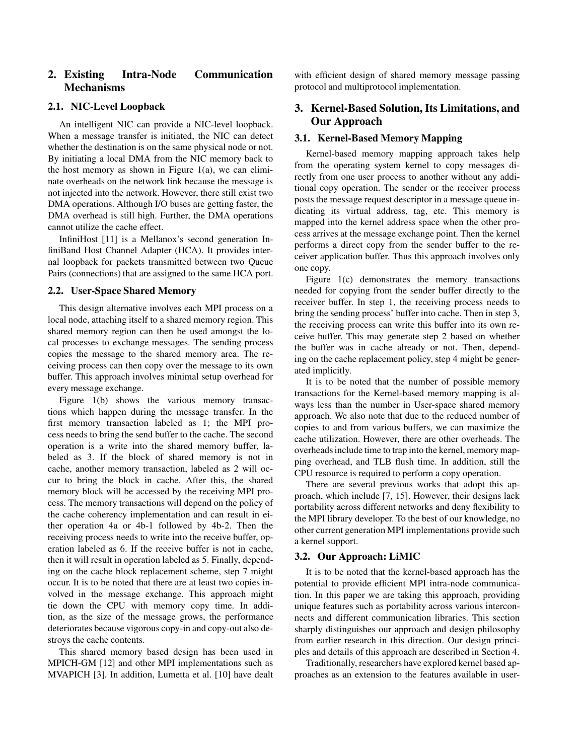# **2. Existing Intra-Node Communication Mechanisms**

# **2.1. NIC-Level Loopback**

An intelligent NIC can provide a NIC-level loopback. When a message transfer is initiated, the NIC can detect whether the destination is on the same physical node or not. By initiating a local DMA from the NIC memory back to the host memory as shown in Figure 1(a), we can eliminate overheads on the network link because the message is not injected into the network. However, there still exist two DMA operations. Although I/O buses are getting faster, the DMA overhead is still high. Further, the DMA operations cannot utilize the cache effect.

InfiniHost [11] is a Mellanox's second generation InfiniBand Host Channel Adapter (HCA). It provides internal loopback for packets transmitted between two Queue Pairs (connections) that are assigned to the same HCA port.

#### **2.2. User-Space Shared Memory**

This design alternative involves each MPI process on a local node, attaching itself to a shared memory region. This shared memory region can then be used amongst the local processes to exchange messages. The sending process copies the message to the shared memory area. The receiving process can then copy over the message to its own buffer. This approach involves minimal setup overhead for every message exchange.

Figure 1(b) shows the various memory transactions which happen during the message transfer. In the first memory transaction labeled as 1; the MPI process needs to bring the send buffer to the cache. The second operation is a write into the shared memory buffer, labeled as 3. If the block of shared memory is not in cache, another memory transaction, labeled as 2 will occur to bring the block in cache. After this, the shared memory block will be accessed by the receiving MPI process. The memory transactions will depend on the policy of the cache coherency implementation and can result in either operation 4a or 4b-1 followed by 4b-2. Then the receiving process needs to write into the receive buffer, operation labeled as 6. If the receive buffer is not in cache, then it will result in operation labeled as 5. Finally, depending on the cache block replacement scheme, step 7 might occur. It is to be noted that there are at least two copies involved in the message exchange. This approach might tie down the CPU with memory copy time. In addition, as the size of the message grows, the performance deteriorates because vigorous copy-in and copy-out also destroys the cache contents.

This shared memory based design has been used in MPICH-GM [12] and other MPI implementations such as MVAPICH [3]. In addition, Lumetta et al. [10] have dealt with efficient design of shared memory message passing protocol and multiprotocol implementation.

# **3. Kernel-Based Solution, Its Limitations, and Our Approach**

#### **3.1. Kernel-Based Memory Mapping**

Kernel-based memory mapping approach takes help from the operating system kernel to copy messages directly from one user process to another without any additional copy operation. The sender or the receiver process posts the message request descriptor in a message queue indicating its virtual address, tag, etc. This memory is mapped into the kernel address space when the other process arrives at the message exchange point. Then the kernel performs a direct copy from the sender buffer to the receiver application buffer. Thus this approach involves only one copy.

Figure 1(c) demonstrates the memory transactions needed for copying from the sender buffer directly to the receiver buffer. In step 1, the receiving process needs to bring the sending process' buffer into cache. Then in step 3, the receiving process can write this buffer into its own receive buffer. This may generate step 2 based on whether the buffer was in cache already or not. Then, depending on the cache replacement policy, step 4 might be generated implicitly.

It is to be noted that the number of possible memory transactions for the Kernel-based memory mapping is always less than the number in User-space shared memory approach. We also note that due to the reduced number of copies to and from various buffers, we can maximize the cache utilization. However, there are other overheads. The overheads include time to trap into the kernel, memory mapping overhead, and TLB flush time. In addition, still the CPU resource is required to perform a copy operation.

There are several previous works that adopt this approach, which include [7, 15]. However, their designs lack portability across different networks and deny flexibility to the MPI library developer. To the best of our knowledge, no other current generation MPI implementations provide such a kernel support.

# **3.2. Our Approach: LiMIC**

It is to be noted that the kernel-based approach has the potential to provide efficient MPI intra-node communication. In this paper we are taking this approach, providing unique features such as portability across various interconnects and different communication libraries. This section sharply distinguishes our approach and design philosophy from earlier research in this direction. Our design principles and details of this approach are described in Section 4.

Traditionally, researchers have explored kernel based approaches as an extension to the features available in user-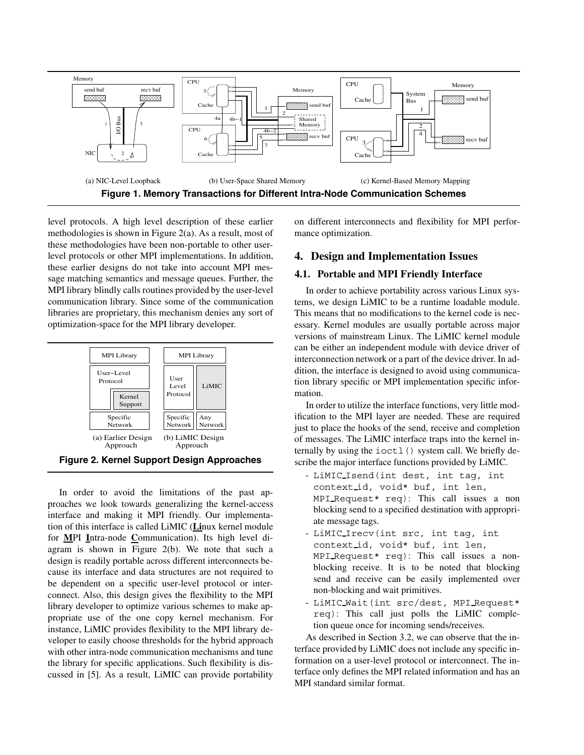

level protocols. A high level description of these earlier methodologies is shown in Figure 2(a). As a result, most of these methodologies have been non-portable to other userlevel protocols or other MPI implementations. In addition, these earlier designs do not take into account MPI message matching semantics and message queues. Further, the MPI library blindly calls routines provided by the user-level communication library. Since some of the communication libraries are proprietary, this mechanism denies any sort of optimization-space for the MPI library developer.



**Figure 2. Kernel Support Design Approaches**

In order to avoid the limitations of the past approaches we look towards generalizing the kernel-access interface and making it MPI friendly. Our implementation of this interface is called LiMIC (**Li**nux kernel module for **M**PI **I**ntra-node **C**ommunication). Its high level diagram is shown in Figure 2(b). We note that such a design is readily portable across different interconnects because its interface and data structures are not required to be dependent on a specific user-level protocol or interconnect. Also, this design gives the flexibility to the MPI library developer to optimize various schemes to make appropriate use of the one copy kernel mechanism. For instance, LiMIC provides flexibility to the MPI library developer to easily choose thresholds for the hybrid approach with other intra-node communication mechanisms and tune the library for specific applications. Such flexibility is discussed in [5]. As a result, LiMIC can provide portability

on different interconnects and flexibility for MPI performance optimization.

# **4. Design and Implementation Issues**

# **4.1. Portable and MPI Friendly Interface**

In order to achieve portability across various Linux systems, we design LiMIC to be a runtime loadable module. This means that no modifications to the kernel code is necessary. Kernel modules are usually portable across major versions of mainstream Linux. The LiMIC kernel module can be either an independent module with device driver of interconnection network or a part of the device driver. In addition, the interface is designed to avoid using communication library specific or MPI implementation specific information.

In order to utilize the interface functions, very little modification to the MPI layer are needed. These are required just to place the hooks of the send, receive and completion of messages. The LiMIC interface traps into the kernel internally by using the ioctl() system call. We briefly describe the major interface functions provided by LiMIC.

- LiMIC Isend(int dest, int tag, int context id, void\* buf, int len, MPI Request\* req): This call issues a non blocking send to a specified destination with appropriate message tags.
- LiMIC Irecv(int src, int tag, int context id, void\* buf, int len, MPI Request\* req): This call issues a nonblocking receive. It is to be noted that blocking send and receive can be easily implemented over non-blocking and wait primitives.
- LiMIC Wait(int src/dest, MPI Request\* req): This call just polls the LiMIC completion queue once for incoming sends/receives.

As described in Section 3.2, we can observe that the interface provided by LiMIC does not include any specific information on a user-level protocol or interconnect. The interface only defines the MPI related information and has an MPI standard similar format.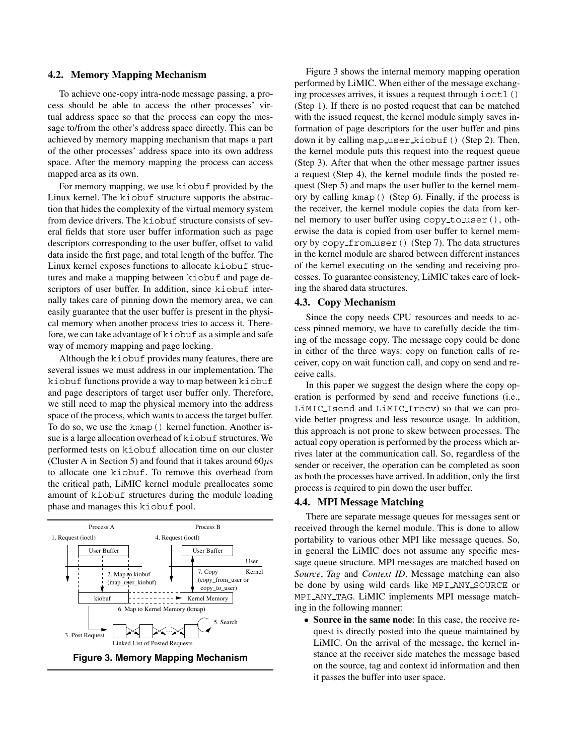#### **4.2. Memory Mapping Mechanism**

To achieve one-copy intra-node message passing, a process should be able to access the other processes' virtual address space so that the process can copy the message to/from the other's address space directly. This can be achieved by memory mapping mechanism that maps a part of the other processes' address space into its own address space. After the memory mapping the process can access mapped area as its own.

For memory mapping, we use kiobuf provided by the Linux kernel. The kiobuf structure supports the abstraction that hides the complexity of the virtual memory system from device drivers. The kiobuf structure consists of several fields that store user buffer information such as page descriptors corresponding to the user buffer, offset to valid data inside the first page, and total length of the buffer. The Linux kernel exposes functions to allocate kiobuf structures and make a mapping between kiobuf and page descriptors of user buffer. In addition, since kiobuf internally takes care of pinning down the memory area, we can easily guarantee that the user buffer is present in the physical memory when another process tries to access it. Therefore, we can take advantage of kiobuf as a simple and safe way of memory mapping and page locking.

Although the kiobuf provides many features, there are several issues we must address in our implementation. The kiobuf functions provide a way to map between kiobuf and page descriptors of target user buffer only. Therefore, we still need to map the physical memory into the address space of the process, which wants to access the target buffer. To do so, we use the kmap() kernel function. Another issue is a large allocation overhead of kiobuf structures. We performed tests on kiobuf allocation time on our cluster (Cluster A in Section 5) and found that it takes around 60*µ*s to allocate one kiobuf. To remove this overhead from the critical path, LiMIC kernel module preallocates some amount of kiobuf structures during the module loading phase and manages this kiobuf pool.



**Figure 3. Memory Mapping Mechanism**

Figure 3 shows the internal memory mapping operation performed by LiMIC. When either of the message exchanging processes arrives, it issues a request through ioctl() (Step 1). If there is no posted request that can be matched with the issued request, the kernel module simply saves information of page descriptors for the user buffer and pins down it by calling map user kiobuf() (Step 2). Then, the kernel module puts this request into the request queue (Step 3). After that when the other message partner issues a request (Step 4), the kernel module finds the posted request (Step 5) and maps the user buffer to the kernel memory by calling kmap() (Step 6). Finally, if the process is the receiver, the kernel module copies the data from kernel memory to user buffer using copy\_to\_user(), otherwise the data is copied from user buffer to kernel memory by copy from user() (Step 7). The data structures in the kernel module are shared between different instances of the kernel executing on the sending and receiving processes. To guarantee consistency, LiMIC takes care of locking the shared data structures.

#### **4.3. Copy Mechanism**

Since the copy needs CPU resources and needs to access pinned memory, we have to carefully decide the timing of the message copy. The message copy could be done in either of the three ways: copy on function calls of receiver, copy on wait function call, and copy on send and receive calls.

In this paper we suggest the design where the copy operation is performed by send and receive functions (i.e., LiMIC Isend and LiMIC Irecv) so that we can provide better progress and less resource usage. In addition, this approach is not prone to skew between processes. The actual copy operation is performed by the process which arrives later at the communication call. So, regardless of the sender or receiver, the operation can be completed as soon as both the processes have arrived. In addition, only the first process is required to pin down the user buffer.

# **4.4. MPI Message Matching**

There are separate message queues for messages sent or received through the kernel module. This is done to allow portability to various other MPI like message queues. So, in general the LiMIC does not assume any specific message queue structure. MPI messages are matched based on *Source*, *Tag* and *Context ID*. Message matching can also be done by using wild cards like MPI ANY SOURCE or MPI ANY TAG. LiMIC implements MPI message matching in the following manner:

• **Source in the same node**: In this case, the receive request is directly posted into the queue maintained by LiMIC. On the arrival of the message, the kernel instance at the receiver side matches the message based on the source, tag and context id information and then it passes the buffer into user space.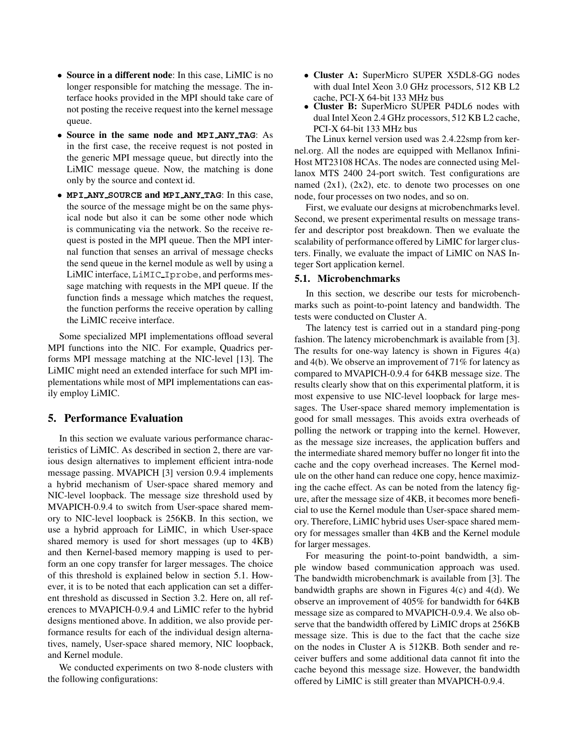- **Source in a different node**: In this case, LiMIC is no longer responsible for matching the message. The interface hooks provided in the MPI should take care of not posting the receive request into the kernel message queue.
- **Source in the same node and MPI ANY TAG**: As in the first case, the receive request is not posted in the generic MPI message queue, but directly into the LiMIC message queue. Now, the matching is done only by the source and context id.
- **MPI ANY SOURCE and MPI ANY TAG**: In this case, the source of the message might be on the same physical node but also it can be some other node which is communicating via the network. So the receive request is posted in the MPI queue. Then the MPI internal function that senses an arrival of message checks the send queue in the kernel module as well by using a LiMIC interface, LiMIC Iprobe, and performs message matching with requests in the MPI queue. If the function finds a message which matches the request, the function performs the receive operation by calling the LiMIC receive interface.

Some specialized MPI implementations offload several MPI functions into the NIC. For example, Quadrics performs MPI message matching at the NIC-level [13]. The LiMIC might need an extended interface for such MPI implementations while most of MPI implementations can easily employ LiMIC.

# **5. Performance Evaluation**

In this section we evaluate various performance characteristics of LiMIC. As described in section 2, there are various design alternatives to implement efficient intra-node message passing. MVAPICH [3] version 0.9.4 implements a hybrid mechanism of User-space shared memory and NIC-level loopback. The message size threshold used by MVAPICH-0.9.4 to switch from User-space shared memory to NIC-level loopback is 256KB. In this section, we use a hybrid approach for LiMIC, in which User-space shared memory is used for short messages (up to 4KB) and then Kernel-based memory mapping is used to perform an one copy transfer for larger messages. The choice of this threshold is explained below in section 5.1. However, it is to be noted that each application can set a different threshold as discussed in Section 3.2. Here on, all references to MVAPICH-0.9.4 and LiMIC refer to the hybrid designs mentioned above. In addition, we also provide performance results for each of the individual design alternatives, namely, User-space shared memory, NIC loopback, and Kernel module.

We conducted experiments on two 8-node clusters with the following configurations:

- **Cluster A:** SuperMicro SUPER X5DL8-GG nodes with dual Intel Xeon 3.0 GHz processors, 512 KB L2 cache, PCI-X 64-bit 133 MHz bus
- **Cluster B:** SuperMicro SUPER P4DL6 nodes with dual Intel Xeon 2.4 GHz processors, 512 KB L2 cache, PCI-X 64-bit 133 MHz bus

The Linux kernel version used was 2.4.22smp from kernel.org. All the nodes are equipped with Mellanox Infini-Host MT23108 HCAs. The nodes are connected using Mellanox MTS 2400 24-port switch. Test configurations are named  $(2x1)$ ,  $(2x2)$ , etc. to denote two processes on one node, four processes on two nodes, and so on.

First, we evaluate our designs at microbenchmarks level. Second, we present experimental results on message transfer and descriptor post breakdown. Then we evaluate the scalability of performance offered by LiMIC for larger clusters. Finally, we evaluate the impact of LiMIC on NAS Integer Sort application kernel.

#### **5.1. Microbenchmarks**

In this section, we describe our tests for microbenchmarks such as point-to-point latency and bandwidth. The tests were conducted on Cluster A.

The latency test is carried out in a standard ping-pong fashion. The latency microbenchmark is available from [3]. The results for one-way latency is shown in Figures 4(a) and 4(b). We observe an improvement of 71% for latency as compared to MVAPICH-0.9.4 for 64KB message size. The results clearly show that on this experimental platform, it is most expensive to use NIC-level loopback for large messages. The User-space shared memory implementation is good for small messages. This avoids extra overheads of polling the network or trapping into the kernel. However, as the message size increases, the application buffers and the intermediate shared memory buffer no longer fit into the cache and the copy overhead increases. The Kernel module on the other hand can reduce one copy, hence maximizing the cache effect. As can be noted from the latency figure, after the message size of 4KB, it becomes more beneficial to use the Kernel module than User-space shared memory. Therefore, LiMIC hybrid uses User-space shared memory for messages smaller than 4KB and the Kernel module for larger messages.

For measuring the point-to-point bandwidth, a simple window based communication approach was used. The bandwidth microbenchmark is available from [3]. The bandwidth graphs are shown in Figures 4(c) and 4(d). We observe an improvement of 405% for bandwidth for 64KB message size as compared to MVAPICH-0.9.4. We also observe that the bandwidth offered by LiMIC drops at 256KB message size. This is due to the fact that the cache size on the nodes in Cluster A is 512KB. Both sender and receiver buffers and some additional data cannot fit into the cache beyond this message size. However, the bandwidth offered by LiMIC is still greater than MVAPICH-0.9.4.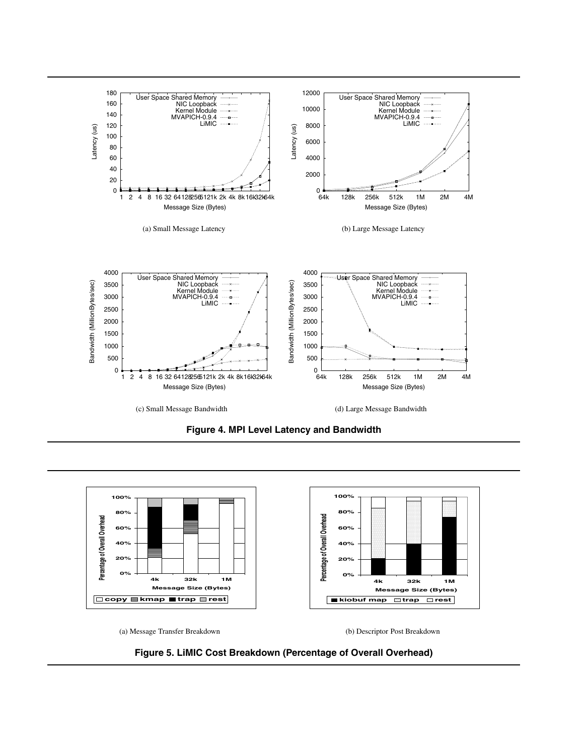







(b) Descriptor Post Breakdown

**Figure 5. LiMIC Cost Breakdown (Percentage of Overall Overhead)**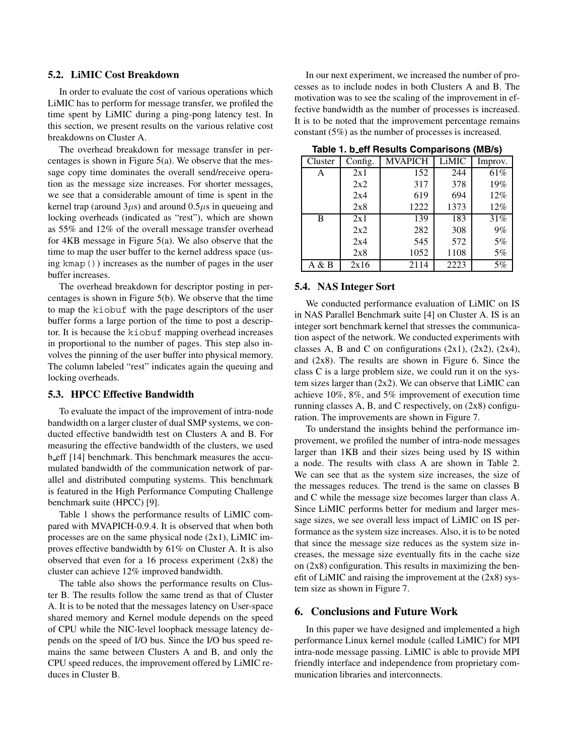# **5.2. LiMIC Cost Breakdown**

In order to evaluate the cost of various operations which LiMIC has to perform for message transfer, we profiled the time spent by LiMIC during a ping-pong latency test. In this section, we present results on the various relative cost breakdowns on Cluster A.

The overhead breakdown for message transfer in percentages is shown in Figure  $5(a)$ . We observe that the message copy time dominates the overall send/receive operation as the message size increases. For shorter messages, we see that a considerable amount of time is spent in the kernel trap (around  $3\mu s$ ) and around  $0.5\mu s$  in queueing and locking overheads (indicated as "rest"), which are shown as 55% and 12% of the overall message transfer overhead for 4KB message in Figure 5(a). We also observe that the time to map the user buffer to the kernel address space (using kmap()) increases as the number of pages in the user buffer increases.

The overhead breakdown for descriptor posting in percentages is shown in Figure 5(b). We observe that the time to map the kiobuf with the page descriptors of the user buffer forms a large portion of the time to post a descriptor. It is because the kiobuf mapping overhead increases in proportional to the number of pages. This step also involves the pinning of the user buffer into physical memory. The column labeled "rest" indicates again the queuing and locking overheads.

# **5.3. HPCC Effective Bandwidth**

To evaluate the impact of the improvement of intra-node bandwidth on a larger cluster of dual SMP systems, we conducted effective bandwidth test on Clusters A and B. For measuring the effective bandwidth of the clusters, we used b eff [14] benchmark. This benchmark measures the accumulated bandwidth of the communication network of parallel and distributed computing systems. This benchmark is featured in the High Performance Computing Challenge benchmark suite (HPCC) [9].

Table 1 shows the performance results of LiMIC compared with MVAPICH-0.9.4. It is observed that when both processes are on the same physical node (2x1), LiMIC improves effective bandwidth by 61% on Cluster A. It is also observed that even for a 16 process experiment (2x8) the cluster can achieve 12% improved bandwidth.

The table also shows the performance results on Cluster B. The results follow the same trend as that of Cluster A. It is to be noted that the messages latency on User-space shared memory and Kernel module depends on the speed of CPU while the NIC-level loopback message latency depends on the speed of I/O bus. Since the I/O bus speed remains the same between Clusters A and B, and only the CPU speed reduces, the improvement offered by LiMIC reduces in Cluster B.

In our next experiment, we increased the number of processes as to include nodes in both Clusters A and B. The motivation was to see the scaling of the improvement in effective bandwidth as the number of processes is increased. It is to be noted that the improvement percentage remains constant (5%) as the number of processes is increased.

**Table 1. b eff Results Comparisons (MB/s)**

| Cluster | Config. | <b>MVAPICH</b> | <b>LiMIC</b> | Improv. |
|---------|---------|----------------|--------------|---------|
| A       | 2x1     | 152            | 244          | 61%     |
|         | 2x2     | 317            | 378          | 19%     |
|         | 2x4     | 619            | 694          | 12%     |
|         | 2x8     | 1222           | 1373         | 12%     |
| B       | 2x1     | 139            | 183          | 31%     |
|         | 2x2     | 282            | 308          | 9%      |
|         | 2x4     | 545            | 572          | 5%      |
|         | 2x8     | 1052           | 1108         | 5%      |
| A & B   | 2x16    | 2114           | 2223         | 5%      |

#### **5.4. NAS Integer Sort**

We conducted performance evaluation of LiMIC on IS in NAS Parallel Benchmark suite [4] on Cluster A. IS is an integer sort benchmark kernel that stresses the communication aspect of the network. We conducted experiments with classes A, B and C on configurations  $(2x1)$ ,  $(2x2)$ ,  $(2x4)$ , and (2x8). The results are shown in Figure 6. Since the class C is a large problem size, we could run it on the system sizes larger than  $(2x2)$ . We can observe that LiMIC can achieve 10%, 8%, and 5% improvement of execution time running classes A, B, and C respectively, on  $(2x8)$  configuration. The improvements are shown in Figure 7.

To understand the insights behind the performance improvement, we profiled the number of intra-node messages larger than 1KB and their sizes being used by IS within a node. The results with class A are shown in Table 2. We can see that as the system size increases, the size of the messages reduces. The trend is the same on classes B and C while the message size becomes larger than class A. Since LiMIC performs better for medium and larger message sizes, we see overall less impact of LiMIC on IS performance as the system size increases. Also, it is to be noted that since the message size reduces as the system size increases, the message size eventually fits in the cache size on (2x8) configuration. This results in maximizing the benefit of LiMIC and raising the improvement at the (2x8) system size as shown in Figure 7.

### **6. Conclusions and Future Work**

In this paper we have designed and implemented a high performance Linux kernel module (called LiMIC) for MPI intra-node message passing. LiMIC is able to provide MPI friendly interface and independence from proprietary communication libraries and interconnects.